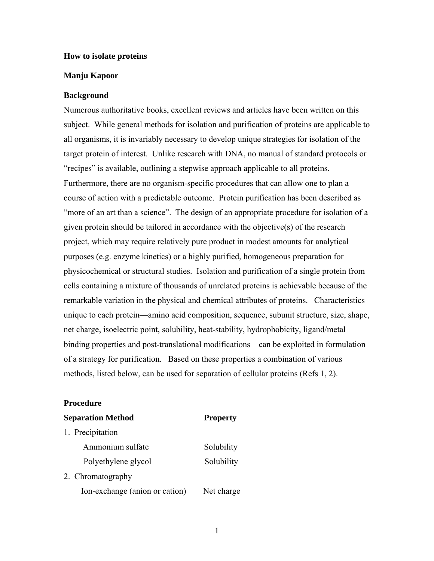## **How to isolate proteins**

## **Manju Kapoor**

### **Background**

Numerous authoritative books, excellent reviews and articles have been written on this subject. While general methods for isolation and purification of proteins are applicable to all organisms, it is invariably necessary to develop unique strategies for isolation of the target protein of interest. Unlike research with DNA, no manual of standard protocols or "recipes" is available, outlining a stepwise approach applicable to all proteins. Furthermore, there are no organism-specific procedures that can allow one to plan a course of action with a predictable outcome. Protein purification has been described as "more of an art than a science". The design of an appropriate procedure for isolation of a given protein should be tailored in accordance with the objective(s) of the research project, which may require relatively pure product in modest amounts for analytical purposes (e.g. enzyme kinetics) or a highly purified, homogeneous preparation for physicochemical or structural studies. Isolation and purification of a single protein from cells containing a mixture of thousands of unrelated proteins is achievable because of the remarkable variation in the physical and chemical attributes of proteins. Characteristics unique to each protein—amino acid composition, sequence, subunit structure, size, shape, net charge, isoelectric point, solubility, heat-stability, hydrophobicity, ligand/metal binding properties and post-translational modifications—can be exploited in formulation of a strategy for purification. Based on these properties a combination of various methods, listed below, can be used for separation of cellular proteins (Refs 1, 2).

#### **Procedure**

| <b>Separation Method</b> | <b>Property</b> |
|--------------------------|-----------------|
| 1. Precipitation         |                 |
| Ammonium sulfate         | Solubility      |
| Polyethylene glycol      | Solubility      |
| 2. Chromatography        |                 |

Ion-exchange (anion or cation) Net charge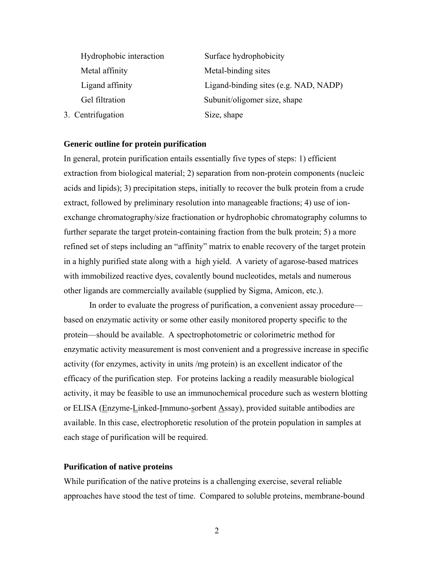| Hydrophobic interaction | Surface hydrophobicity                |
|-------------------------|---------------------------------------|
| Metal affinity          | Metal-binding sites                   |
| Ligand affinity         | Ligand-binding sites (e.g. NAD, NADP) |
| Gel filtration          | Subunit/oligomer size, shape          |
| 3. Centrifugation       | Size, shape                           |

#### **Generic outline for protein purification**

In general, protein purification entails essentially five types of steps: 1) efficient extraction from biological material; 2) separation from non-protein components (nucleic acids and lipids); 3) precipitation steps, initially to recover the bulk protein from a crude extract, followed by preliminary resolution into manageable fractions; 4) use of ionexchange chromatography/size fractionation or hydrophobic chromatography columns to further separate the target protein-containing fraction from the bulk protein; 5) a more refined set of steps including an "affinity" matrix to enable recovery of the target protein in a highly purified state along with a high yield. A variety of agarose-based matrices with immobilized reactive dyes, covalently bound nucleotides, metals and numerous other ligands are commercially available (supplied by Sigma, Amicon, etc.).

In order to evaluate the progress of purification, a convenient assay procedure based on enzymatic activity or some other easily monitored property specific to the protein—should be available. A spectrophotometric or colorimetric method for enzymatic activity measurement is most convenient and a progressive increase in specific activity (for enzymes, activity in units /mg protein) is an excellent indicator of the efficacy of the purification step. For proteins lacking a readily measurable biological activity, it may be feasible to use an immunochemical procedure such as western blotting or ELISA (Enzyme-Linked-Immuno-sorbent Assay), provided suitable antibodies are available. In this case, electrophoretic resolution of the protein population in samples at each stage of purification will be required.

## **Purification of native proteins**

While purification of the native proteins is a challenging exercise, several reliable approaches have stood the test of time. Compared to soluble proteins, membrane-bound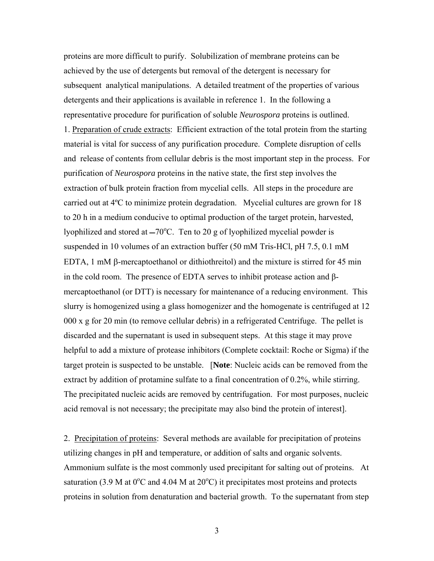proteins are more difficult to purify. Solubilization of membrane proteins can be achieved by the use of detergents but removal of the detergent is necessary for subsequent analytical manipulations. A detailed treatment of the properties of various detergents and their applications is available in reference 1. In the following a representative procedure for purification of soluble *Neurospora* proteins is outlined. 1. Preparation of crude extracts: Efficient extraction of the total protein from the starting material is vital for success of any purification procedure. Complete disruption of cells and release of contents from cellular debris is the most important step in the process. For purification of *Neurospora* proteins in the native state, the first step involves the extraction of bulk protein fraction from mycelial cells. All steps in the procedure are carried out at 4ºC to minimize protein degradation. Mycelial cultures are grown for 18 to 20 h in a medium conducive to optimal production of the target protein, harvested, lyophilized and stored at  $-70^{\circ}$ C. Ten to 20 g of lyophilized mycelial powder is suspended in 10 volumes of an extraction buffer (50 mM Tris-HCl, pH 7.5, 0.1 mM EDTA, 1 mM β-mercaptoethanol or dithiothreitol) and the mixture is stirred for 45 min in the cold room. The presence of EDTA serves to inhibit protease action and βmercaptoethanol (or DTT) is necessary for maintenance of a reducing environment. This slurry is homogenized using a glass homogenizer and the homogenate is centrifuged at 12 000 x g for 20 min (to remove cellular debris) in a refrigerated Centrifuge. The pellet is discarded and the supernatant is used in subsequent steps. At this stage it may prove helpful to add a mixture of protease inhibitors (Complete cocktail: Roche or Sigma) if the target protein is suspected to be unstable. [**Note**: Nucleic acids can be removed from the extract by addition of protamine sulfate to a final concentration of 0.2%, while stirring. The precipitated nucleic acids are removed by centrifugation. For most purposes, nucleic acid removal is not necessary; the precipitate may also bind the protein of interest].

2. Precipitation of proteins: Several methods are available for precipitation of proteins utilizing changes in pH and temperature, or addition of salts and organic solvents. Ammonium sulfate is the most commonly used precipitant for salting out of proteins. At saturation (3.9 M at  $0^{\circ}$ C and 4.04 M at  $20^{\circ}$ C) it precipitates most proteins and protects proteins in solution from denaturation and bacterial growth. To the supernatant from step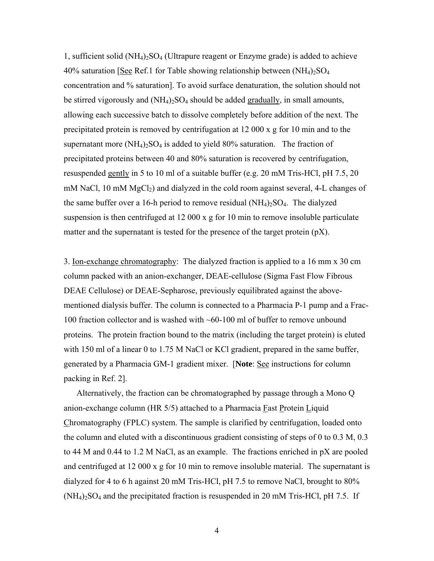1, sufficient solid  $(NH_4)_2SO_4$  (Ultrapure reagent or Enzyme grade) is added to achieve 40% saturation [See Ref.1 for Table showing relationship between  $(NH_4)$ <sub>2</sub>SO<sub>4</sub> concentration and % saturation]. To avoid surface denaturation, the solution should not be stirred vigorously and  $(NH_4)_2SO_4$  should be added gradually, in small amounts, allowing each successive batch to dissolve completely before addition of the next. The precipitated protein is removed by centrifugation at 12 000 x g for 10 min and to the supernatant more  $(NH_4)_2SO_4$  is added to yield 80% saturation. The fraction of precipitated proteins between 40 and 80% saturation is recovered by centrifugation, resuspended gently in 5 to 10 ml of a suitable buffer (e.g. 20 mM Tris-HCl, pH 7.5, 20 mM NaCl, 10 mM  $MgCl<sub>2</sub>$ ) and dialyzed in the cold room against several, 4-L changes of the same buffer over a 16-h period to remove residual  $(NH_4)_2SO_4$ . The dialyzed suspension is then centrifuged at 12 000 x g for 10 min to remove insoluble particulate matter and the supernatant is tested for the presence of the target protein  $(pX)$ .

3. Ion-exchange chromatography: The dialyzed fraction is applied to a 16 mm x 30 cm column packed with an anion-exchanger, DEAE-cellulose (Sigma Fast Flow Fibrous DEAE Cellulose) or DEAE-Sepharose, previously equilibrated against the abovementioned dialysis buffer. The column is connected to a Pharmacia P-1 pump and a Frac-100 fraction collector and is washed with ~60-100 ml of buffer to remove unbound proteins. The protein fraction bound to the matrix (including the target protein) is eluted with 150 ml of a linear 0 to 1.75 M NaCl or KCl gradient, prepared in the same buffer, generated by a Pharmacia GM-1 gradient mixer. [**Note**: See instructions for column packing in Ref. 2].

 Alternatively, the fraction can be chromatographed by passage through a Mono Q anion-exchange column (HR 5/5) attached to a Pharmacia Fast Protein Liquid Chromatography (FPLC) system. The sample is clarified by centrifugation, loaded onto the column and eluted with a discontinuous gradient consisting of steps of 0 to 0.3 M, 0.3 to 44 M and 0.44 to 1.2 M NaCl, as an example. The fractions enriched in pX are pooled and centrifuged at 12 000 x g for 10 min to remove insoluble material. The supernatant is dialyzed for 4 to 6 h against 20 mM Tris-HCl, pH 7.5 to remove NaCl, brought to 80%  $(NH_4)_2SO_4$  and the precipitated fraction is resuspended in 20 mM Tris-HCl, pH 7.5. If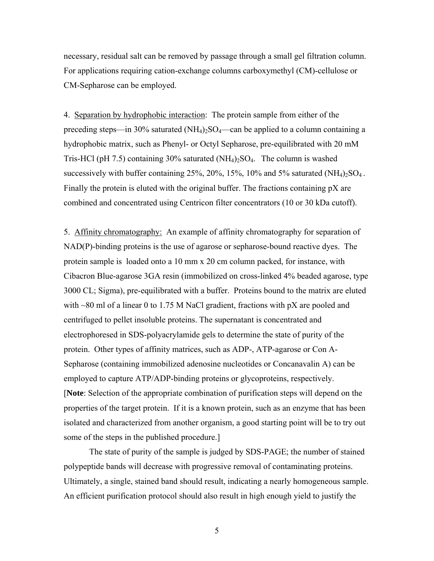necessary, residual salt can be removed by passage through a small gel filtration column. For applications requiring cation-exchange columns carboxymethyl (CM)-cellulose or CM-Sepharose can be employed.

4. Separation by hydrophobic interaction: The protein sample from either of the preceding steps—in 30% saturated  $(NH_4)_2SO_4$ —can be applied to a column containing a hydrophobic matrix, such as Phenyl- or Octyl Sepharose, pre-equilibrated with 20 mM Tris-HCl (pH 7.5) containing 30% saturated  $(NH<sub>4</sub>)<sub>2</sub>SO<sub>4</sub>$ . The column is washed successively with buffer containing  $25\%$ ,  $20\%$ ,  $15\%$ ,  $10\%$  and  $5\%$  saturated (NH<sub>4</sub>)<sub>2</sub>SO<sub>4</sub>. Finally the protein is eluted with the original buffer. The fractions containing pX are combined and concentrated using Centricon filter concentrators (10 or 30 kDa cutoff).

5. Affinity chromatography: An example of affinity chromatography for separation of NAD(P)-binding proteins is the use of agarose or sepharose-bound reactive dyes. The protein sample is loaded onto a 10 mm x 20 cm column packed, for instance, with Cibacron Blue-agarose 3GA resin (immobilized on cross-linked 4% beaded agarose, type 3000 CL; Sigma), pre-equilibrated with a buffer. Proteins bound to the matrix are eluted with  $\sim$ 80 ml of a linear 0 to 1.75 M NaCl gradient, fractions with pX are pooled and centrifuged to pellet insoluble proteins. The supernatant is concentrated and electrophoresed in SDS-polyacrylamide gels to determine the state of purity of the protein. Other types of affinity matrices, such as ADP-, ATP-agarose or Con A-Sepharose (containing immobilized adenosine nucleotides or Concanavalin A) can be employed to capture ATP/ADP-binding proteins or glycoproteins, respectively. [**Note**: Selection of the appropriate combination of purification steps will depend on the properties of the target protein. If it is a known protein, such as an enzyme that has been isolated and characterized from another organism, a good starting point will be to try out some of the steps in the published procedure.]

The state of purity of the sample is judged by SDS-PAGE; the number of stained polypeptide bands will decrease with progressive removal of contaminating proteins. Ultimately, a single, stained band should result, indicating a nearly homogeneous sample. An efficient purification protocol should also result in high enough yield to justify the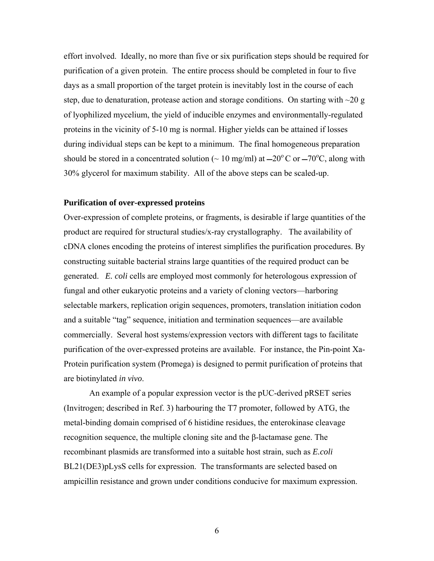effort involved. Ideally, no more than five or six purification steps should be required for purification of a given protein. The entire process should be completed in four to five days as a small proportion of the target protein is inevitably lost in the course of each step, due to denaturation, protease action and storage conditions. On starting with  $\sim$ 20 g of lyophilized mycelium, the yield of inducible enzymes and environmentally-regulated proteins in the vicinity of 5-10 mg is normal. Higher yields can be attained if losses during individual steps can be kept to a minimum. The final homogeneous preparation should be stored in a concentrated solution ( $\sim 10$  mg/ml) at  $-20^{\circ}$ C or  $-70^{\circ}$ C, along with 30% glycerol for maximum stability. All of the above steps can be scaled-up.

# **Purification of over-expressed proteins**

Over-expression of complete proteins, or fragments, is desirable if large quantities of the product are required for structural studies/x-ray crystallography. The availability of cDNA clones encoding the proteins of interest simplifies the purification procedures. By constructing suitable bacterial strains large quantities of the required product can be generated. *E. coli* cells are employed most commonly for heterologous expression of fungal and other eukaryotic proteins and a variety of cloning vectors—harboring selectable markers, replication origin sequences, promoters, translation initiation codon and a suitable "tag" sequence, initiation and termination sequences—are available commercially. Several host systems/expression vectors with different tags to facilitate purification of the over-expressed proteins are available. For instance, the Pin-point Xa-Protein purification system (Promega) is designed to permit purification of proteins that are biotinylated *in vivo*.

An example of a popular expression vector is the pUC-derived pRSET series (Invitrogen; described in Ref. 3) harbouring the T7 promoter, followed by ATG, the metal-binding domain comprised of 6 histidine residues, the enterokinase cleavage recognition sequence, the multiple cloning site and the β-lactamase gene. The recombinant plasmids are transformed into a suitable host strain, such as *E.coli* BL21(DE3)pLysS cells for expression. The transformants are selected based on ampicillin resistance and grown under conditions conducive for maximum expression.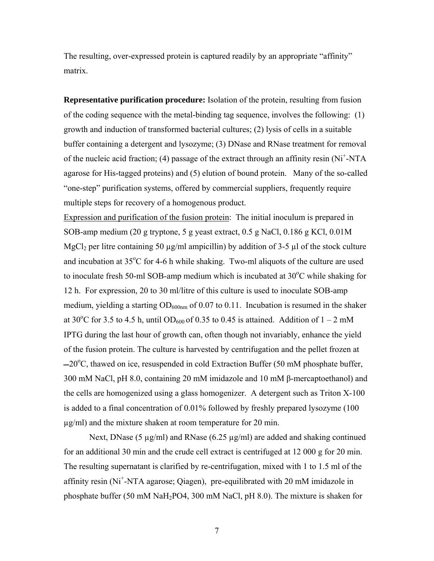The resulting, over-expressed protein is captured readily by an appropriate "affinity" matrix.

**Representative purification procedure:** Isolation of the protein, resulting from fusion of the coding sequence with the metal-binding tag sequence, involves the following: (1) growth and induction of transformed bacterial cultures; (2) lysis of cells in a suitable buffer containing a detergent and lysozyme; (3) DNase and RNase treatment for removal of the nucleic acid fraction; (4) passage of the extract through an affinity resin (Ni<sup>+</sup>-NTA agarose for His-tagged proteins) and (5) elution of bound protein. Many of the so-called "one-step" purification systems, offered by commercial suppliers, frequently require multiple steps for recovery of a homogenous product.

Expression and purification of the fusion protein: The initial inoculum is prepared in SOB-amp medium (20 g tryptone, 5 g yeast extract, 0.5 g NaCl, 0.186 g KCl, 0.01M MgCl<sub>2</sub> per litre containing 50  $\mu$ g/ml ampicillin) by addition of 3-5  $\mu$ l of the stock culture and incubation at 35°C for 4-6 h while shaking. Two-ml aliquots of the culture are used to inoculate fresh 50-ml SOB-amp medium which is incubated at 30°C while shaking for 12 h. For expression, 20 to 30 ml/litre of this culture is used to inoculate SOB-amp medium, yielding a starting  $OD_{600nm}$  of 0.07 to 0.11. Incubation is resumed in the shaker at 30<sup>o</sup>C for 3.5 to 4.5 h, until OD<sub>600</sub> of 0.35 to 0.45 is attained. Addition of  $1 - 2$  mM IPTG during the last hour of growth can, often though not invariably, enhance the yield of the fusion protein. The culture is harvested by centrifugation and the pellet frozen at -20°C, thawed on ice, resuspended in cold Extraction Buffer (50 mM phosphate buffer, 300 mM NaCl, pH 8.0, containing 20 mM imidazole and 10 mM β-mercaptoethanol) and the cells are homogenized using a glass homogenizer. A detergent such as Triton X-100 is added to a final concentration of 0.01% followed by freshly prepared lysozyme (100 µg/ml) and the mixture shaken at room temperature for 20 min.

Next, DNase (5  $\mu$ g/ml) and RNase (6.25  $\mu$ g/ml) are added and shaking continued for an additional 30 min and the crude cell extract is centrifuged at 12 000 g for 20 min. The resulting supernatant is clarified by re-centrifugation, mixed with 1 to 1.5 ml of the affinity resin (Ni<sup>+</sup>-NTA agarose; Qiagen), pre-equilibrated with 20 mM imidazole in phosphate buffer (50 mM NaH2PO4, 300 mM NaCl, pH 8.0). The mixture is shaken for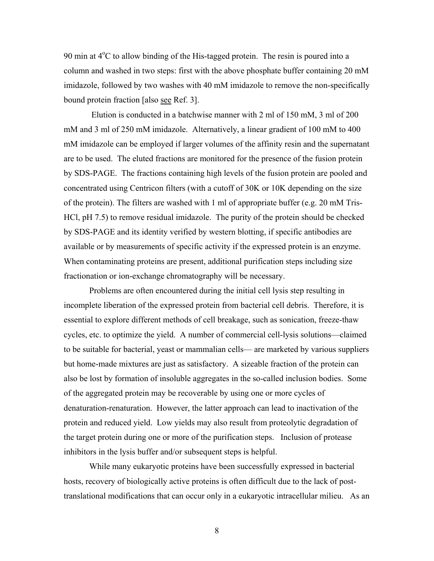90 min at 4°C to allow binding of the His-tagged protein. The resin is poured into a column and washed in two steps: first with the above phosphate buffer containing 20 mM imidazole, followed by two washes with 40 mM imidazole to remove the non-specifically bound protein fraction [also see Ref. 3].

 Elution is conducted in a batchwise manner with 2 ml of 150 mM, 3 ml of 200 mM and 3 ml of 250 mM imidazole. Alternatively, a linear gradient of 100 mM to 400 mM imidazole can be employed if larger volumes of the affinity resin and the supernatant are to be used. The eluted fractions are monitored for the presence of the fusion protein by SDS-PAGE. The fractions containing high levels of the fusion protein are pooled and concentrated using Centricon filters (with a cutoff of 30K or 10K depending on the size of the protein). The filters are washed with 1 ml of appropriate buffer (e.g. 20 mM Tris-HCl, pH 7.5) to remove residual imidazole. The purity of the protein should be checked by SDS-PAGE and its identity verified by western blotting, if specific antibodies are available or by measurements of specific activity if the expressed protein is an enzyme. When contaminating proteins are present, additional purification steps including size fractionation or ion-exchange chromatography will be necessary.

Problems are often encountered during the initial cell lysis step resulting in incomplete liberation of the expressed protein from bacterial cell debris. Therefore, it is essential to explore different methods of cell breakage, such as sonication, freeze-thaw cycles, etc. to optimize the yield. A number of commercial cell-lysis solutions—claimed to be suitable for bacterial, yeast or mammalian cells— are marketed by various suppliers but home-made mixtures are just as satisfactory. A sizeable fraction of the protein can also be lost by formation of insoluble aggregates in the so-called inclusion bodies. Some of the aggregated protein may be recoverable by using one or more cycles of denaturation-renaturation. However, the latter approach can lead to inactivation of the protein and reduced yield. Low yields may also result from proteolytic degradation of the target protein during one or more of the purification steps. Inclusion of protease inhibitors in the lysis buffer and/or subsequent steps is helpful.

While many eukaryotic proteins have been successfully expressed in bacterial hosts, recovery of biologically active proteins is often difficult due to the lack of posttranslational modifications that can occur only in a eukaryotic intracellular milieu. As an